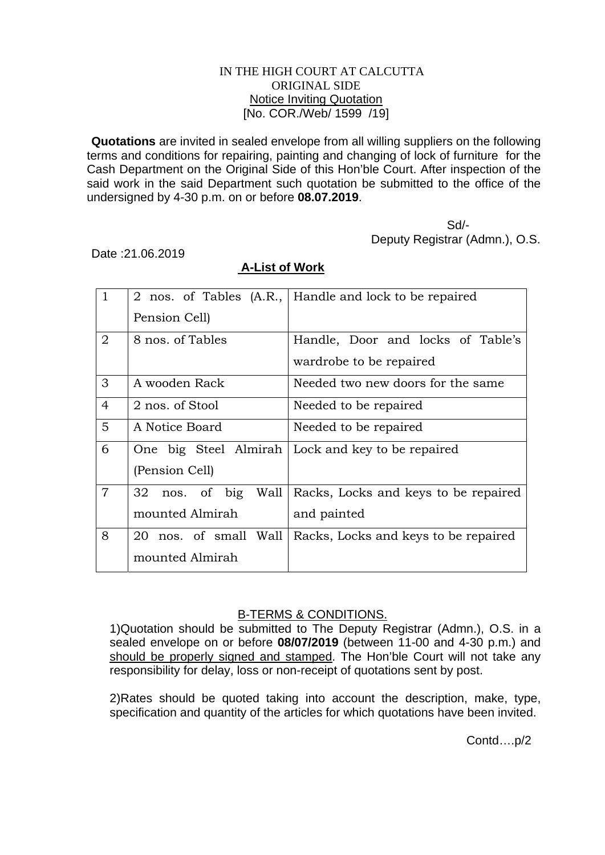## IN THE HIGH COURT AT CALCUTTA ORIGINAL SIDE Notice Inviting Quotation [No. COR./Web/ 1599 /19]

**Quotations** are invited in sealed envelope from all willing suppliers on the following terms and conditions for repairing, painting and changing of lock of furniture for the Cash Department on the Original Side of this Hon'ble Court. After inspection of the said work in the said Department such quotation be submitted to the office of the undersigned by 4-30 p.m. on or before **08.07.2019**.

 Sd/- Deputy Registrar (Admn.), O.S.

Date :21.06.2019

| $\mathbf{1}$   |                           | 2 nos. of Tables (A.R.,   Handle and lock to be repaired |
|----------------|---------------------------|----------------------------------------------------------|
|                | Pension Cell)             |                                                          |
| $\overline{2}$ | 8 nos. of Tables          | Handle, Door and locks of Table's                        |
|                |                           | wardrobe to be repaired                                  |
| 3              | A wooden Rack             | Needed two new doors for the same                        |
| $\overline{4}$ | 2 nos. of Stool           | Needed to be repaired                                    |
| 5              | A Notice Board            | Needed to be repaired                                    |
| 6              |                           | One big Steel Almirah   Lock and key to be repaired      |
|                | (Pension Cell)            |                                                          |
| $\overline{7}$ | nos. of big<br>Wall<br>32 | Racks, Locks and keys to be repaired                     |
|                | mounted Almirah           | and painted                                              |
| 8              | 20 nos. of small Wall     | Racks, Locks and keys to be repaired                     |
|                | mounted Almirah           |                                                          |

## **A-List of Work**

## B-TERMS & CONDITIONS.

1)Quotation should be submitted to The Deputy Registrar (Admn.), O.S. in a sealed envelope on or before **08/07/2019** (between 11-00 and 4-30 p.m.) and should be properly signed and stamped. The Hon'ble Court will not take any responsibility for delay, loss or non-receipt of quotations sent by post.

2)Rates should be quoted taking into account the description, make, type, specification and quantity of the articles for which quotations have been invited.

Contd….p/2